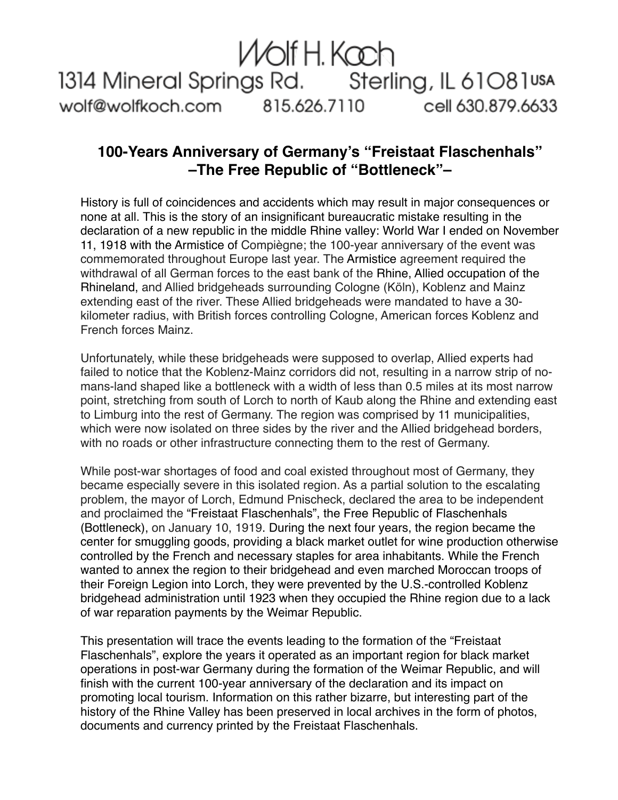## Wolf H. Kæh 1314 Mineral Springs Rd. Sterling, IL 61081USA wolf@wolfkoch.com 815.626.7110 cell 630.879.6633

## **100-Years Anniversary of Germany's "Freistaat Flaschenhals" –The Free Republic of "Bottleneck"–**

History is full of coincidences and accidents which may result in major consequences or none at all. This is the story of an insignificant bureaucratic mistake resulting in the declaration of a new republic in the middle Rhine valley: World War I ended on November 11, 1918 with the Armistice of Compiègne; the 100-year anniversary of the event was commemorated throughout Europe last year. The Armistice agreement required the withdrawal of all German forces to the east bank of the Rhine, Allied occupation of the Rhineland, and Allied bridgeheads surrounding Cologne (Köln), Koblenz and Mainz extending east of the river. These Allied bridgeheads were mandated to have a 30 kilometer radius, with British forces controlling Cologne, American forces Koblenz and French forces Mainz.

Unfortunately, while these bridgeheads were supposed to overlap, Allied experts had failed to notice that the Koblenz-Mainz corridors did not, resulting in a narrow strip of nomans-land shaped like a bottleneck with a width of less than 0.5 miles at its most narrow point, stretching from south of Lorch to north of Kaub along the Rhine and extending east to Limburg into the rest of Germany. The region was comprised by 11 municipalities, which were now isolated on three sides by the river and the Allied bridgehead borders, with no roads or other infrastructure connecting them to the rest of Germany.

While post-war shortages of food and coal existed throughout most of Germany, they became especially severe in this isolated region. As a partial solution to the escalating problem, the mayor of Lorch, Edmund Pnischeck, declared the area to be independent and proclaimed the "Freistaat Flaschenhals", the Free Republic of Flaschenhals (Bottleneck), on January 10, 1919. During the next four years, the region became the center for smuggling goods, providing a black market outlet for wine production otherwise controlled by the French and necessary staples for area inhabitants. While the French wanted to annex the region to their bridgehead and even marched Moroccan troops of their Foreign Legion into Lorch, they were prevented by the U.S.-controlled Koblenz bridgehead administration until 1923 when they occupied the Rhine region due to a lack of war reparation payments by the Weimar Republic.

This presentation will trace the events leading to the formation of the "Freistaat Flaschenhals", explore the years it operated as an important region for black market operations in post-war Germany during the formation of the Weimar Republic, and will finish with the current 100-year anniversary of the declaration and its impact on promoting local tourism. Information on this rather bizarre, but interesting part of the history of the Rhine Valley has been preserved in local archives in the form of photos, documents and currency printed by the Freistaat Flaschenhals.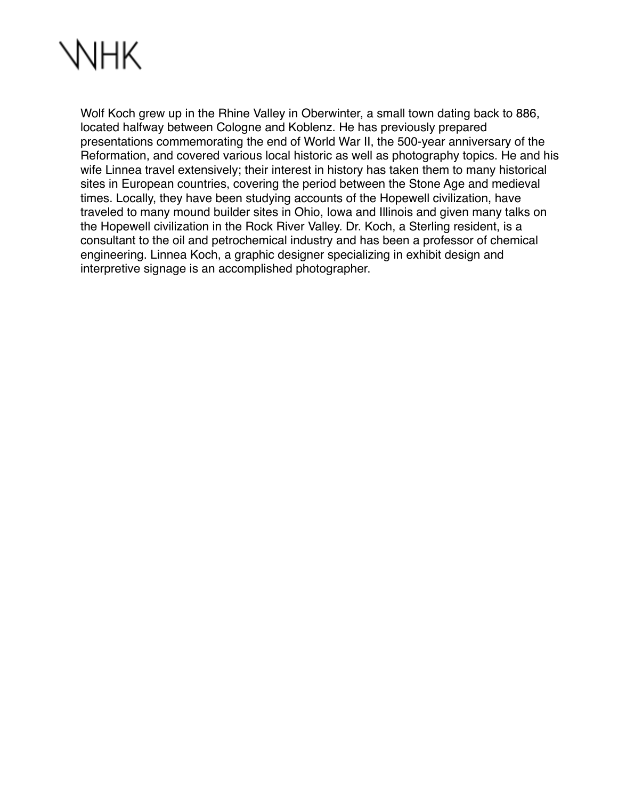

Wolf Koch grew up in the Rhine Valley in Oberwinter, a small town dating back to 886, located halfway between Cologne and Koblenz. He has previously prepared presentations commemorating the end of World War II, the 500-year anniversary of the Reformation, and covered various local historic as well as photography topics. He and his wife Linnea travel extensively; their interest in history has taken them to many historical sites in European countries, covering the period between the Stone Age and medieval times. Locally, they have been studying accounts of the Hopewell civilization, have traveled to many mound builder sites in Ohio, Iowa and Illinois and given many talks on the Hopewell civilization in the Rock River Valley. Dr. Koch, a Sterling resident, is a consultant to the oil and petrochemical industry and has been a professor of chemical engineering. Linnea Koch, a graphic designer specializing in exhibit design and interpretive signage is an accomplished photographer.